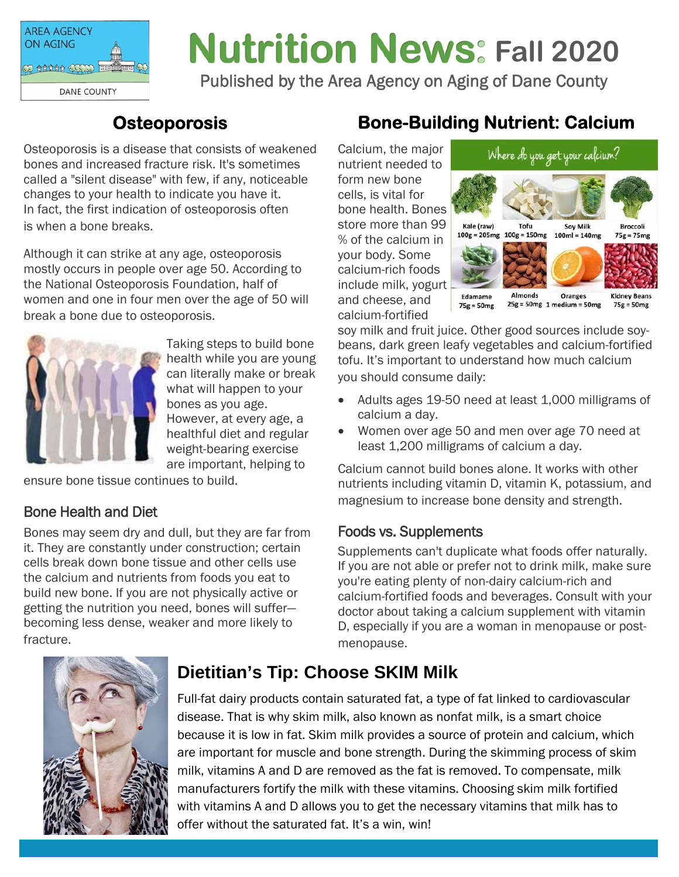

# **Nutrition News: Fall 2020**

Published by the Area Agency on Aging of Dane County

## **Osteoporosis**

Osteoporosis is a disease that consists of weakened bones and increased fracture risk. It's sometimes called a "silent disease" with few, if any, noticeable changes to your health to indicate you have it. In fact, the first indication of osteoporosis often is when a bone breaks.

Although it can strike at any age, osteoporosis mostly occurs in people over age 50. According to the National Osteoporosis Foundation, half of women and one in four men over the age of 50 will break a bone due to osteoporosis.



Taking steps to build bone health while you are young can literally make or break what will happen to your bones as you age. However, at every age, a healthful diet and regular weight-bearing exercise are important, helping to

ensure bone tissue continues to build.

#### Bone Health and Diet

Bones may seem dry and dull, but they are far from it. They are constantly under construction; certain cells break down bone tissue and other cells use the calcium and nutrients from foods you eat to build new bone. If you are not physically active or getting the nutrition you need, bones will suffer becoming less dense, weaker and more likely to fracture.

# **Bone-Building Nutrient: Calcium**

Calcium, the major nutrient needed to form new bone cells, is vital for bone health. Bones store more than 99 % of the calcium in your body. Some calcium-rich foods include milk, yogurt and cheese, and calcium-fortified



soy milk and fruit juice. Other good sources include soybeans, dark green leafy vegetables and calcium-fortified tofu. It's important to understand how much calcium you should consume daily:

- Adults ages 19-50 need at least 1,000 milligrams of calcium a day.
- Women over age 50 and men over age 70 need at least 1,200 milligrams of calcium a day.

Calcium cannot build bones alone. It works with other nutrients including vitamin D, vitamin K, potassium, and magnesium to increase bone density and strength.

#### Foods vs. Supplements

Supplements can't duplicate what foods offer naturally. If you are not able or prefer not to drink milk, make sure you're eating plenty of non-dairy calcium-rich and calcium-fortified foods and beverages. Consult with your doctor about taking a calcium supplement with vitamin D, especially if you are a woman in menopause or postmenopause.



## **Dietitian's Tip: Choose SKIM Milk**

Full-fat dairy products contain saturated fat, a type of fat linked to cardiovascular disease. That is why skim milk, also known as nonfat milk, is a smart choice because it is low in fat. Skim milk provides a source of protein and calcium, which are important for muscle and bone strength. During the skimming process of skim milk, vitamins A and D are removed as the fat is removed. To compensate, milk manufacturers fortify the milk with these vitamins. Choosing skim milk fortified with vitamins A and D allows you to get the necessary vitamins that milk has to offer without the saturated fat. It's a win, win!